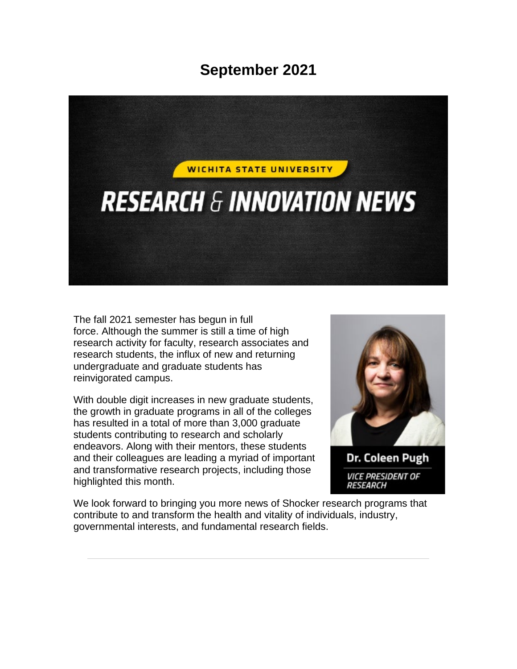## **September 2021**



The fall 2021 semester has begun in full force. Although the summer is still a time of high research activity for faculty, research associates and research students, the influx of new and returning undergraduate and graduate students has reinvigorated campus.

With double digit increases in new graduate students, the growth in graduate programs in all of the colleges has resulted in a total of more than 3,000 graduate students contributing to research and scholarly endeavors. Along with their mentors, these students and their colleagues are leading a myriad of important and transformative research projects, including those highlighted this month.



We look forward to bringing you more news of Shocker research programs that contribute to and transform the health and vitality of individuals, industry, governmental interests, and fundamental research fields.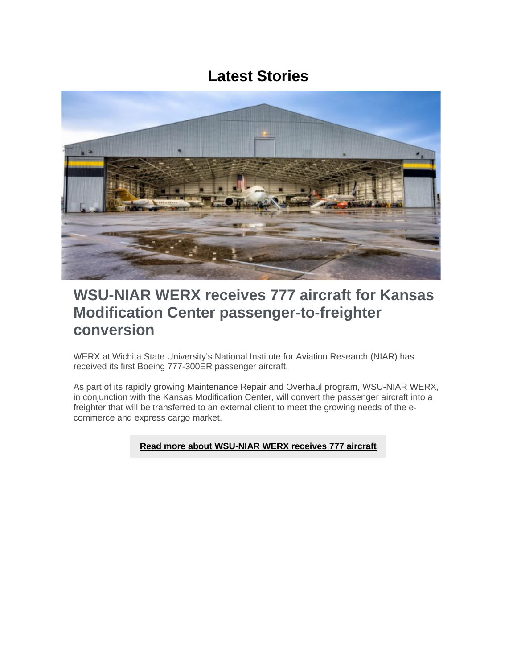### **Latest Stories**



### **WSU-NIAR WERX receives 777 aircraft for Kansas Modification Center passenger-to-freighter conversion**

WERX at Wichita State University's National Institute for Aviation Research (NIAR) has received its first Boeing 777-300ER passenger aircraft.

As part of its rapidly growing Maintenance Repair and Overhaul program, WSU-NIAR WERX, in conjunction with the Kansas Modification Center, will convert the passenger aircraft into a freighter that will be transferred to an external client to meet the growing needs of the ecommerce and express cargo market.

### **[Read more about WSU-NIAR WERX receives 777 aircraft](https://www.wichita.edu/about/wsunews/news/2021/09-sept/777_2.php)**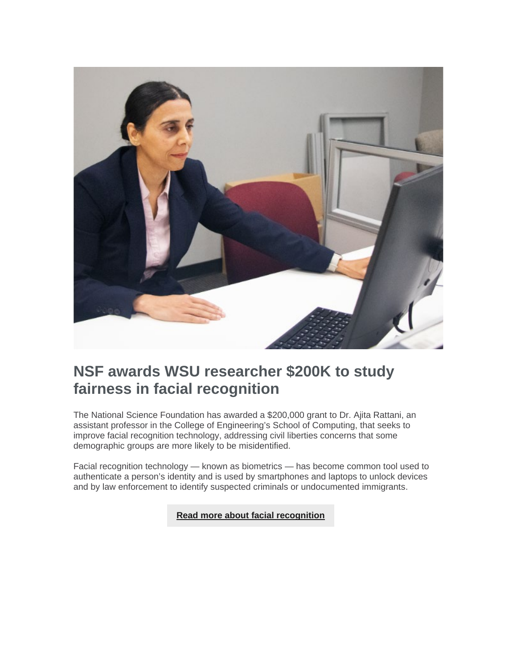

## **NSF awards WSU researcher \$200K to study fairness in facial recognition**

The National Science Foundation has awarded a \$200,000 grant to Dr. Ajita Rattani, an assistant professor in the College of Engineering's School of Computing, that seeks to improve facial recognition technology, addressing civil liberties concerns that some demographic groups are more likely to be misidentified.

Facial recognition technology — known as biometrics — has become common tool used to authenticate a person's identity and is used by smartphones and laptops to unlock devices and by law enforcement to identify suspected criminals or undocumented immigrants.

**[Read more about facial recognition](https://www.wichita.edu/about/wsunews/news/2021/08-aug/eyes_3.php)**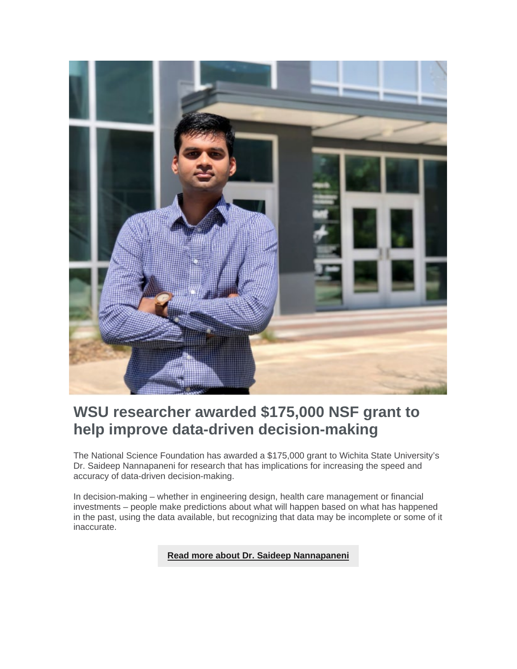

## **WSU researcher awarded \$175,000 NSF grant to help improve data-driven decision-making**

The National Science Foundation has awarded a \$175,000 grant to Wichita State University's Dr. Saideep Nannapaneni for research that has implications for increasing the speed and accuracy of data-driven decision-making.

In decision-making – whether in engineering design, health care management or financial investments – people make predictions about what will happen based on what has happened in the past, using the data available, but recognizing that data may be incomplete or some of it inaccurate.

#### **Read more about [Dr. Saideep Nannapaneni](https://www.wichita.edu/about/wsunews/news/2021/07-july/data_3.php)**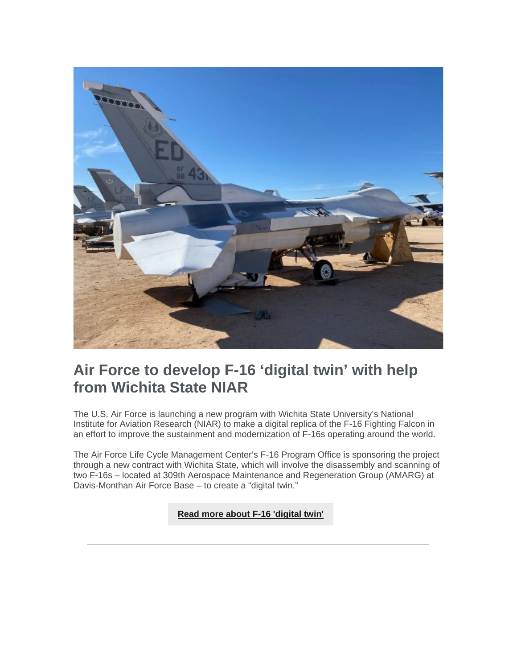

## **Air Force to develop F-16 'digital twin' with help from Wichita State NIAR**

The U.S. Air Force is launching a new program with Wichita State University's National Institute for Aviation Research (NIAR) to make a digital replica of the F-16 Fighting Falcon in an effort to improve the sustainment and modernization of F-16s operating around the world.

The Air Force Life Cycle Management Center's F-16 Program Office is sponsoring the project through a new contract with Wichita State, which will involve the disassembly and scanning of two F-16s – located at 309th Aerospace Maintenance and Regeneration Group (AMARG) at Davis-Monthan Air Force Base – to create a "digital twin."

**[Read more about F-16 'digital twin'](https://www.wichita.edu/about/wsunews/news/2021/06-jun/f-16_3.php)**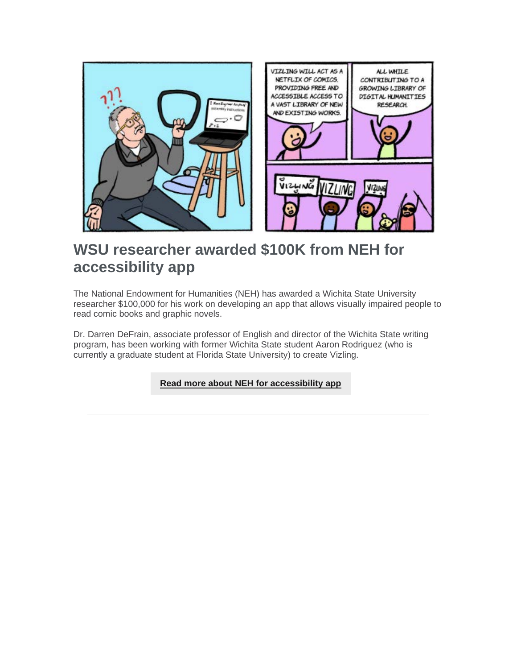

## **WSU researcher awarded \$100K from NEH for accessibility app**

The National Endowment for Humanities (NEH) has awarded a Wichita State University researcher \$100,000 for his work on developing an app that allows visually impaired people to read comic books and graphic novels.

Dr. Darren DeFrain, associate professor of English and director of the Wichita State writing program, has been working with former Wichita State student Aaron Rodriguez (who is currently a graduate student at Florida State University) to create Vizling.

**[Read more about NEH for accessibility app](https://www.wichita.edu/about/wsunews/news/2021/08-aug/vizling_3.php)**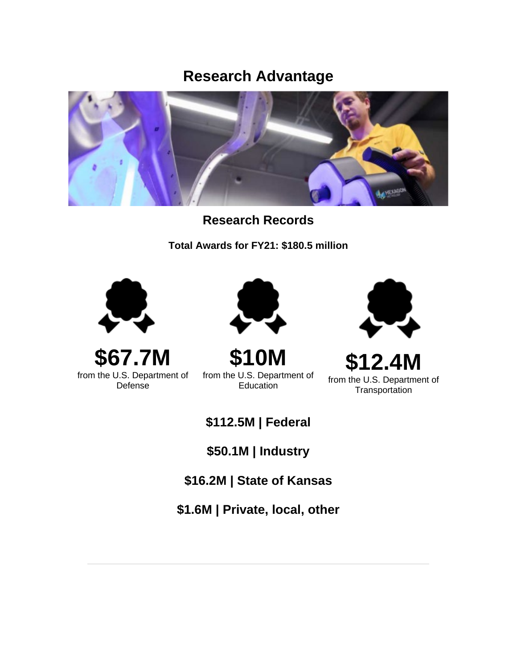### **Research Advantage**



**Research Records**

**Total Awards for FY21: \$180.5 million**



**\$67.7M** from the U.S. Department of Defense



**\$10M** from the U.S. Department of Education



**\$12.4M** from the U.S. Department of **Transportation** 

**\$112.5M | Federal**

**\$50.1M | Industry**

**\$16.2M | State of Kansas**

**\$1.6M | Private, local, other**